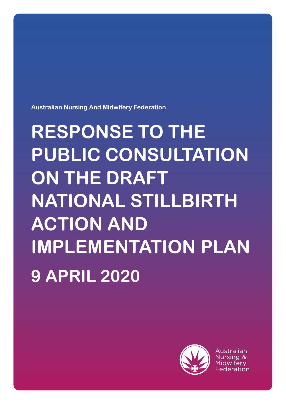**Australian Nursing And Midwifery Federation**

# **RESPONSE TO THE PUBLIC CONSULTATION ON THE DRAFT NATIONAL STILLBIRTH ACTION AND IMPLEMENTATION PLAN 9 APRIL 2020**



Australian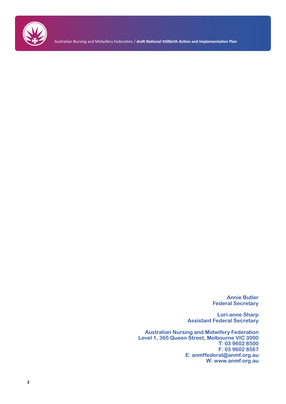

Australian Nursing and Midwifery Federation / **draft National Stillbirth Action and Implementation Plan**

**Annie Butler Federal Secretary**

**Lori-anne Sharp Assistant Federal Secretary**

**Australian Nursing and Midwifery Federation Level 1, 365 Queen Street, Melbourne VIC 3000 T: 03 9602 8500 F: 03 9602 8567 E: anmffederal@anmf.org.au W: www.anmf.org.au**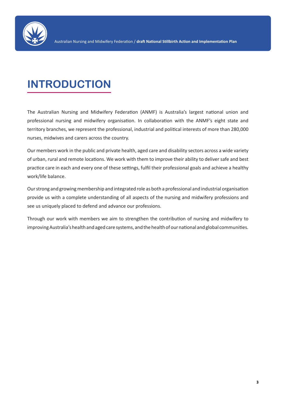

# **INTRODUCTION**

The Australian Nursing and Midwifery Federation (ANMF) is Australia's largest national union and professional nursing and midwifery organisation. In collaboration with the ANMF's eight state and territory branches, we represent the professional, industrial and political interests of more than 280,000 nurses, midwives and carers across the country.

Our members work in the public and private health, aged care and disability sectors across a wide variety of urban, rural and remote locations. We work with them to improve their ability to deliver safe and best practice care in each and every one of these settings, fulfil their professional goals and achieve a healthy work/life balance.

Our strong and growing membership and integrated role as both a professional and industrial organisation provide us with a complete understanding of all aspects of the nursing and midwifery professions and see us uniquely placed to defend and advance our professions.

Through our work with members we aim to strengthen the contribution of nursing and midwifery to improving Australia's health and aged care systems, and the health of our national and global communities.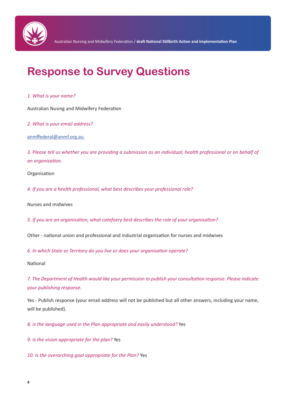

# **Response to Survey Questions**

#### *1. What is your name?*

Australian Nusing and Midwifery Federation

*2. What is your email address?*

anmffederal@anmf.org.au

*3. Please tell us whether you are providing a submission as an individual, health professional or on behalf of an organisation.*

Organisation

*4. If you are a health professional, what best describes your professional role?*

Nurses and midwives

*5. If you are an organisation, what catefoery best describes the role of your organisation?*

Other - national union and professional and industrial organisation for nurses and midwives

*6. In which State or Territory do you live or does your organisation operate?*

National

*7. The Department of Health would like your permission to publish your consultation response. Please indicate your publishing response.*

Yes - Publish response (your email address will not be published but all other answers, including your name, will be published).

*8. Is the language used in the Plan appropriate and easily understood?* Yes

*9. Is the vision appropriate for the plan?* Yes

*10. Is the overarching goal appropriate for the Plan?* Yes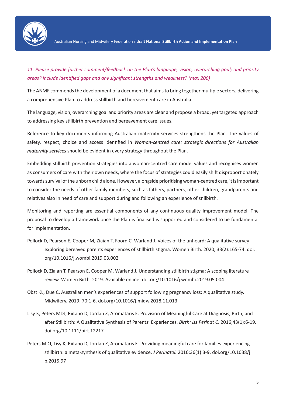

# *11. Please provide further comment/feedback on the Plan's language, vision, overarching goal; and priority areas? Include identified gaps and any significant strengths and weakness? (max 200)*

The ANMF commends the development of a document that aims to bring together multiple sectors, delivering a comprehensive Plan to address stillbirth and bereavement care in Australia.

The language, vision, overarching goal and priority areas are clear and propose a broad, yet targeted approach to addressing key stillbirth prevention and bereavement care issues.

Reference to key documents informing Australian maternity services strengthens the Plan. The values of safety, respect, choice and access identified in *Woman-centred care: strategic directions for Australian maternity services* should be evident in every strategy throughout the Plan.

Embedding stillbirth prevention strategies into a woman-centred care model values and recognises women as consumers of care with their own needs, where the focus of strategies could easily shift disproportionately towards survival of the unborn child alone. However, alongside prioritising woman-centred care, it is important to consider the needs of other family members, such as fathers, partners, other children, grandparents and relatives also in need of care and support during and following an experience of stillbirth.

Monitoring and reporting are essential components of any continuous quality improvement model. The proposal to develop a framework once the Plan is finalised is supported and considered to be fundamental for implementation.

- Pollock D, Pearson E, Cooper M, Ziaian T, Foord C, Warland J. Voices of the unheard: A qualitative survey exploring bereaved parents experiences of stillbirth stigma. Women Birth. 2020; 33(2):165-74. doi. org/10.1016/j.wombi.2019.03.002
- Pollock D, Ziaian T, Pearson E, Cooper M, Warland J. Understanding stillbirth stigma: A scoping literature review. Women Birth. 2019. Available online: doi.org/10.1016/j.wombi.2019.05.004
- Obst KL, Due C. Australian men's experiences of support following pregnancy loss: A qualitative study. Midwifery. 2019; 70:1-6. doi.org/10.1016/j.midw.2018.11.013
- Lisy K, Peters MDJ, Riitano D, Jordan Z, Aromataris E. Provision of Meaningful Care at Diagnosis, Birth, and after Stillbirth: A Qualitative Synthesis of Parents' Experiences. *Birth: Iss Perinat C*. 2016;43(1):6-19. doi.org/10.1111/birt.12217
- Peters MDJ, Lisy K, Riitano D, Jordan Z, Aromataris E. Providing meaningful care for families experiencing stillbirth: a meta-synthesis of qualitative evidence. *J Perinatol.* 2016;36(1):3-9. doi.org/10.1038/j p.2015.97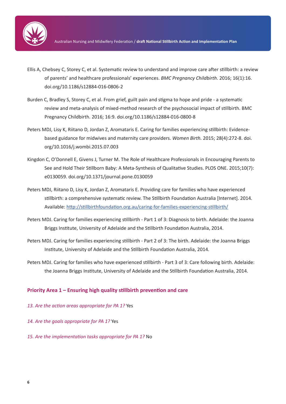

- Ellis A, Chebsey C, Storey C, et al. Systematic review to understand and improve care after stillbirth: a review of parents' and healthcare professionals' experiences. *BMC Pregnancy Childbirth*. 2016; 16(1):16. doi.org/10.1186/s12884-016-0806-2
- Burden C, Bradley S, Storey C, et al. From grief, guilt pain and stigma to hope and pride a systematic review and meta-analysis of mixed-method research of the psychosocial impact of stillbirth. BMC Pregnancy Childbirth. 2016; 16:9. doi.org/10.1186/s12884-016-0800-8
- Peters MDJ, Lisy K, Riitano D, Jordan Z, Aromataris E. Caring for families experiencing stillbirth: Evidencebased guidance for midwives and maternity care providers. *Women Birth.* 2015; 28(4):272-8. doi. org/10.1016/j.wombi.2015.07.003
- Kingdon C, O'Donnell E, Givens J, Turner M. The Role of Healthcare Professionals in Encouraging Parents to See and Hold Their Stillborn Baby: A Meta-Synthesis of Qualitative Studies. PLOS ONE. 2015;10(7): e0130059. doi.org/10.1371/journal.pone.0130059
- Peters MDJ, Riitano D, Lisy K, Jordan Z, Aromataris E. Providing care for families who have experienced stillbirth: a comprehensive systematic review. The Stillbirth Foundation Australia [Internet]. 2014. Available: http://stillbirthfoundation.org.au/caring-for-families-experiencing-stillbirth/
- Peters MDJ. Caring for families experiencing stillbirth Part 1 of 3: Diagnosis to birth. Adelaide: the Joanna Briggs Institute, University of Adelaide and the Stillbirth Foundation Australia, 2014.
- Peters MDJ. Caring for families experiencing stillbirth Part 2 of 3: The birth. Adelaide: the Joanna Briggs Institute, University of Adelaide and the Stillbirth Foundation Australia, 2014.
- Peters MDJ. Caring for families who have experienced stillbirth Part 3 of 3: Care following birth. Adelaide: the Joanna Briggs Institute, University of Adelaide and the Stillbirth Foundation Australia, 2014.

#### **Priority Area 1 – Ensuring high quality stillbirth prevention and care**

- *13. Are the action areas appropriate for PA 1?* Yes
- *14. Are the goals appropriate for PA 1?* Yes
- *15. Are the implementation tasks appropriate for PA 1?* No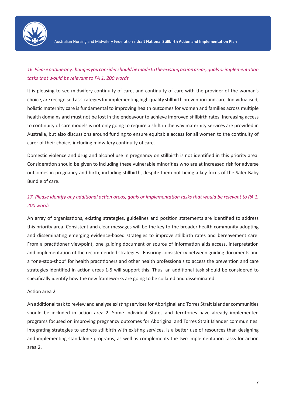

# *16. Please outline any changes you consider should be made to the existing action areas, goals or implementation tasks that would be relevant to PA 1. 200 words*

It is pleasing to see midwifery continuity of care, and continuity of care with the provider of the woman's choice, are recognised as strategies for implementing high quality stillbirth prevention and care. Individualised, holistic maternity care is fundamental to improving health outcomes for women and families across multiple health domains and must not be lost in the endeavour to achieve improved stillbirth rates. Increasing access to continuity of care models is not only going to require a shift in the way maternity services are provided in Australia, but also discussions around funding to ensure equitable access for all women to the continuity of carer of their choice, including midwifery continuity of care.

Domestic violence and drug and alcohol use in pregnancy on stillbirth is not identified in this priority area. Consideration should be given to including these vulnerable minorities who are at increased risk for adverse outcomes in pregnancy and birth, including stillbirth, despite them not being a key focus of the Safer Baby Bundle of care.

# *17. Please identify any additional action areas, goals or implementation tasks that would be relevant to PA 1. 200 words*

An array of organisations, existing strategies, guidelines and position statements are identified to address this priority area. Consistent and clear messages will be the key to the broader health community adopting and disseminating emerging evidence-based strategies to improve stillbirth rates and bereavement care. From a practitioner viewpoint, one guiding document or source of information aids access, interpretation and implementation of the recommended strategies. Ensuring consistency between guiding documents and a "one-stop-shop" for health practitioners and other health professionals to access the prevention and care strategies identified in action areas 1-5 will support this. Thus, an additional task should be considered to specifically identify how the new frameworks are going to be collated and disseminated.

#### Action area 2

An additional task to review and analyse existing services for Aboriginal and Torres Strait Islander communities should be included in action area 2. Some individual States and Territories have already implemented programs focused on improving pregnancy outcomes for Aboriginal and Torres Strait Islander communities. Integrating strategies to address stillbirth with existing services, is a better use of resources than designing and implementing standalone programs, as well as complements the two implementation tasks for action area 2.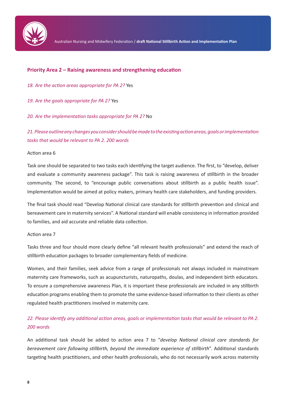

#### **Priority Area 2 – Raising awareness and strengthening education**

*18. Are the action areas appropriate for PA 2?* Yes

*19. Are the goals appropriate for PA 2?* Yes

*20. Are the implementation tasks appropriate for PA 2?* No

*21. Please outline any changes you consider should be made to the existing action areas, goals or implementation tasks that would be relevant to PA 2. 200 words*

#### Action area 6

Task one should be separated to two tasks each identifying the target audience. The first, to "develop, deliver and evaluate a community awareness package". This task is raising awareness of stillbirth in the broader community. The second, to "encourage public conversations about stillbirth as a public health issue". Implementation would be aimed at policy makers, primary health care stakeholders, and funding providers.

The final task should read "Develop National clinical care standards for stillbirth prevention and clinical and bereavement care in maternity services". A National standard will enable consistency in information provided to families, and aid accurate and reliable data collection.

#### Action area 7

Tasks three and four should more clearly define "all relevant health professionals" and extend the reach of stillbirth education packages to broader complementary fields of medicine.

Women, and their families, seek advice from a range of professionals not always included in mainstream maternity care frameworks, such as acupuncturists, naturopaths, doulas, and independent birth educators. To ensure a comprehensive awareness Plan, it is important these professionals are included in any stillbirth education programs enabling them to promote the same evidence-based information to their clients as other regulated health practitioners involved in maternity care.

# *22. Please identify any additional action areas, goals or implementation tasks that would be relevant to PA 2. 200 words*

An additional task should be added to action area 7 to "*develop National clinical care standards for bereavement care following stillbirth, beyond the immediate experience of stillbirth*". Additional standards targeting health practitioners, and other health professionals, who do not necessarily work across maternity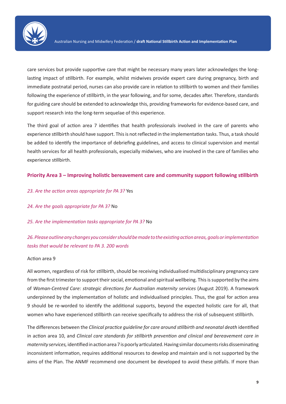

care services but provide supportive care that might be necessary many years later acknowledges the longlasting impact of stillbirth. For example, whilst midwives provide expert care during pregnancy, birth and immediate postnatal period, nurses can also provide care in relation to stillbirth to women and their families following the experience of stillbirth, in the year following, and for some, decades after. Therefore, standards for guiding care should be extended to acknowledge this, providing frameworks for evidence-based care, and support research into the long-term sequelae of this experience.

The third goal of action area 7 identifies that health professionals involved in the care of parents who experience stillbirth should have support. This is not reflected in the implementation tasks. Thus, a task should be added to identify the importance of debriefing guidelines, and access to clinical supervision and mental health services for all health professionals, especially midwives, who are involved in the care of families who experience stillbirth.

## **Priority Area 3 – Improving holistic bereavement care and community support following stillbirth**

- *23. Are the action areas appropriate for PA 3?* Yes
- *24. Are the goals appropriate for PA 3?* No

*25. Are the implementation tasks appropriate for PA 3?* No

# *26. Please outline any changes you consider should be made to the existing action areas, goals or implementation tasks that would be relevant to PA 3. 200 words*

#### Action area 9

All women, regardless of risk for stillbirth, should be receiving individualised multidisciplinary pregnancy care from the first trimester to support their social, emotional and spiritual wellbeing. This is supported by the aims of *Woman-Centred Care: strategic directions for Australian maternity services* (August 2019). A framework underpinned by the implementation of holistic and individualised principles. Thus, the goal for action area 9 should be re-worded to identify the additional supports, beyond the expected holistic care for all, that women who have experienced stillbirth can receive specifically to address the risk of subsequent stillbirth.

The differences between the *Clinical practice guideline for care around stillbirth and neonatal death* identified in action area 10, and *Clinical care standards for stillbirth prevention and clinical and bereavement care in maternity services,* identified in action area 7 is poorly articulated. Having similar documents risks disseminating inconsistent information, requires additional resources to develop and maintain and is not supported by the aims of the Plan. The ANMF recommend one document be developed to avoid these pitfalls. If more than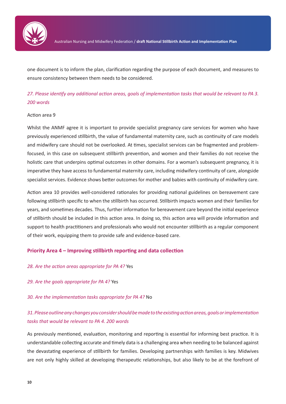

one document is to inform the plan, clarification regarding the purpose of each document, and measures to ensure consistency between them needs to be considered.

# *27. Please identify any additional action areas, goals of implementation tasks that would be relevant to PA 3. 200 words*

#### Action area 9

Whilst the ANMF agree it is important to provide specialist pregnancy care services for women who have previously experienced stillbirth, the value of fundamental maternity care, such as continuity of care models and midwifery care should not be overlooked. At times, specialist services can be fragmented and problemfocused, in this case on subsequent stillbirth prevention, and women and their families do not receive the holistic care that underpins optimal outcomes in other domains. For a woman's subsequent pregnancy, it is imperative they have access to fundamental maternity care, including midwifery continuity of care, alongside specialist services. Evidence shows better outcomes for mother and babies with continuity of midwifery care.

Action area 10 provides well-considered rationales for providing national guidelines on bereavement care following stillbirth specific to when the stillbirth has occurred. Stillbirth impacts women and their families for years, and sometimes decades. Thus, further information for bereavement care beyond the initial experience of stillbirth should be included in this action area. In doing so, this action area will provide information and support to health practitioners and professionals who would not encounter stillbirth as a regular component of their work, equipping them to provide safe and evidence-based care.

#### **Priority Area 4 – Improving stillbirth reporting and data collection**

- *28. Are the action areas appropriate for PA 4?* Yes
- *29. Are the goals appropriate for PA 4?* Yes
- *30. Are the implementation tasks appropriate for PA 4?* No

# *31. Please outline any changes you consider should be made to the existing action areas, goals or implementation tasks that would be relevant to PA 4. 200 words*

As previously mentioned, evaluation, monitoring and reporting is essential for informing best practice. It is understandable collecting accurate and timely data is a challenging area when needing to be balanced against the devastating experience of stillbirth for families. Developing partnerships with families is key. Midwives are not only highly skilled at developing therapeutic relationships, but also likely to be at the forefront of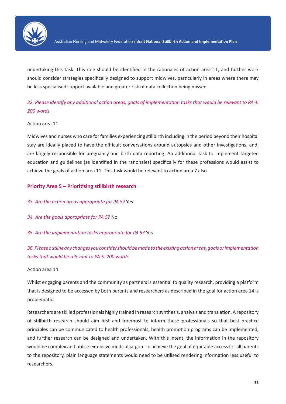

undertaking this task. This role should be identified in the rationales of action area 11, and further work should consider strategies specifically designed to support midwives, particularly in areas where there may be less specialised support available and greater risk of data collection being missed.

# *32. Please identify any additional action areas, goals of implementation tasks that would be relevant to PA 4. 200 words*

## Action area 11

Midwives and nurses who care for families experiencing stillbirth including in the period beyond their hospital stay are ideally placed to have the difficult conversations around autopsies and other investigations, and, are largely responsible for pregnancy and birth data reporting. An additional task to implement targeted education and guidelines (as identified in the rationales) specifically for these professions would assist to achieve the goals of action area 11. This task would be relevant to action area 7 also.

# **Priority Area 5 – Prioritising stillbirth research**

*33. Are the action areas appropriate for PA 5?* Yes

- *34. Are the goals appropriate for PA 5?* No
- *35. Are the implementation tasks appropriate for PA 5?* Yes

# *36. Please outline any changes you consider should be made to the existing action areas, goals or implementation tasks that would be relevant to PA 5. 200 words*

#### Action area 14

Whilst engaging parents and the community as partners is essential to quality research, providing a platform that is designed to be accessed by both parents and researchers as described in the goal for action area 14 is problematic.

Researchers are skilled professionals highly trained in research synthesis, analysis and translation. A repository of stillbirth research should aim first and foremost to inform these professionals so that best practice principles can be communicated to health professionals, health promotion programs can be implemented, and further research can be designed and undertaken. With this intent, the information in the repository would be complex and utilise extensive medical jargon. To achieve the goal of equitable access for all parents to the repository, plain language statements would need to be utilised rendering information less useful to researchers.